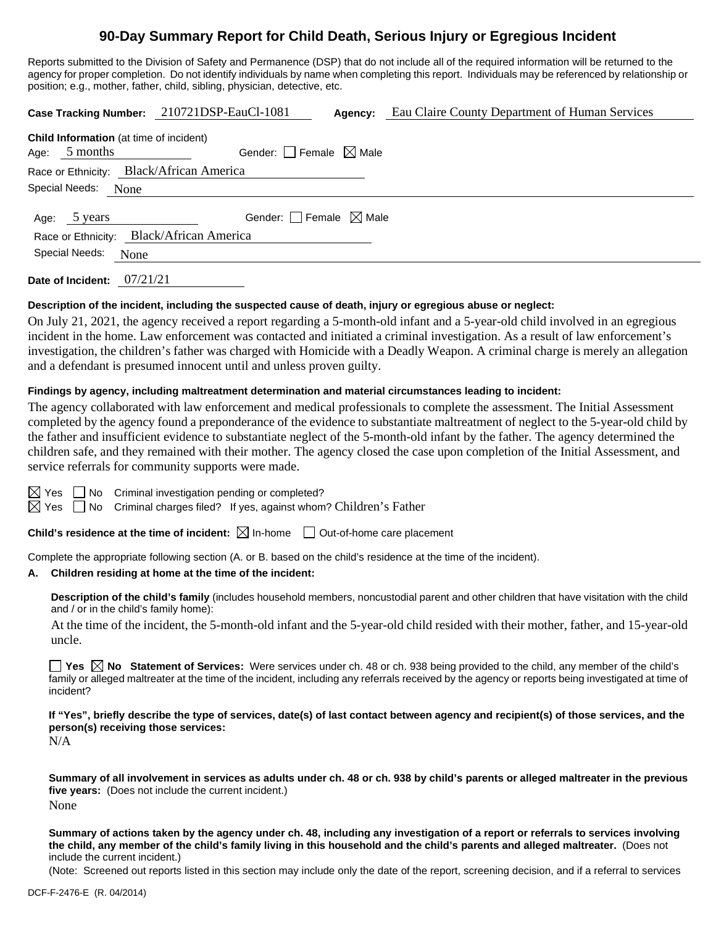# **90-Day Summary Report for Child Death, Serious Injury or Egregious Incident**

Reports submitted to the Division of Safety and Permanence (DSP) that do not include all of the required information will be returned to the agency for proper completion. Do not identify individuals by name when completing this report. Individuals may be referenced by relationship or position; e.g., mother, father, child, sibling, physician, detective, etc.

|                                                                   | Case Tracking Number: 210721DSP-EauCl-1081 | Agency: | Eau Claire County Department of Human Services |  |  |  |  |
|-------------------------------------------------------------------|--------------------------------------------|---------|------------------------------------------------|--|--|--|--|
| <b>Child Information</b> (at time of incident)<br>Age: $5$ months | Gender: Female $\boxtimes$ Male            |         |                                                |  |  |  |  |
| Race or Ethnicity: Black/African America                          |                                            |         |                                                |  |  |  |  |
| Special Needs:<br>None                                            |                                            |         |                                                |  |  |  |  |
| 5 years<br>Age:                                                   | Gender: $\Box$ Female $\boxtimes$ Male     |         |                                                |  |  |  |  |
| Race or Ethnicity: Black/African America                          |                                            |         |                                                |  |  |  |  |
| Special Needs:<br>None                                            |                                            |         |                                                |  |  |  |  |
|                                                                   |                                            |         |                                                |  |  |  |  |

**Date of Incident:** 07/21/21

# **Description of the incident, including the suspected cause of death, injury or egregious abuse or neglect:**

On July 21, 2021, the agency received a report regarding a 5-month-old infant and a 5-year-old child involved in an egregious incident in the home. Law enforcement was contacted and initiated a criminal investigation. As a result of law enforcement's investigation, the children's father was charged with Homicide with a Deadly Weapon. A criminal charge is merely an allegation and a defendant is presumed innocent until and unless proven guilty.

# **Findings by agency, including maltreatment determination and material circumstances leading to incident:**

The agency collaborated with law enforcement and medical professionals to complete the assessment. The Initial Assessment completed by the agency found a preponderance of the evidence to substantiate maltreatment of neglect to the 5-year-old child by the father and insufficient evidence to substantiate neglect of the 5-month-old infant by the father. The agency determined the children safe, and they remained with their mother. The agency closed the case upon completion of the Initial Assessment, and service referrals for community supports were made.

 $\boxtimes$  Yes  $\Box$  No Criminal investigation pending or completed?

 $\boxtimes$  Yes  $\Box$  No Criminal charges filed? If yes, against whom? Children's Father

**Child's residence at the time of incident:**  $\boxtimes$  In-home  $\Box$  Out-of-home care placement

Complete the appropriate following section (A. or B. based on the child's residence at the time of the incident).

# **A. Children residing at home at the time of the incident:**

**Description of the child's family** (includes household members, noncustodial parent and other children that have visitation with the child and / or in the child's family home):

At the time of the incident, the 5-month-old infant and the 5-year-old child resided with their mother, father, and 15-year-old uncle.

**Yes No Statement of Services:** Were services under ch. 48 or ch. 938 being provided to the child, any member of the child's family or alleged maltreater at the time of the incident, including any referrals received by the agency or reports being investigated at time of incident?

**If "Yes", briefly describe the type of services, date(s) of last contact between agency and recipient(s) of those services, and the person(s) receiving those services:**

N/A

**Summary of all involvement in services as adults under ch. 48 or ch. 938 by child's parents or alleged maltreater in the previous five years:** (Does not include the current incident.) None

**Summary of actions taken by the agency under ch. 48, including any investigation of a report or referrals to services involving the child, any member of the child's family living in this household and the child's parents and alleged maltreater.** (Does not include the current incident.)

(Note: Screened out reports listed in this section may include only the date of the report, screening decision, and if a referral to services